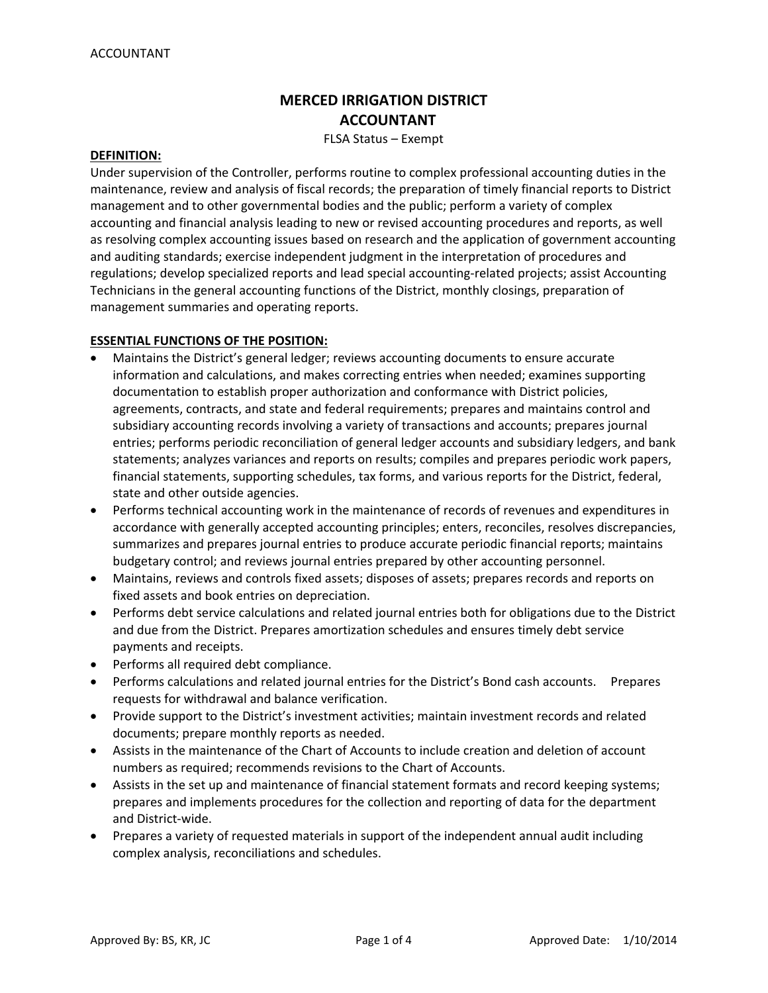# **MERCED IRRIGATION DISTRICT ACCOUNTANT**

FLSA Status – Exempt

#### **DEFINITION:**

Under supervision of the Controller, performs routine to complex professional accounting duties in the maintenance, review and analysis of fiscal records; the preparation of timely financial reports to District management and to other governmental bodies and the public; perform a variety of complex accounting and financial analysis leading to new or revised accounting procedures and reports, as well as resolving complex accounting issues based on research and the application of government accounting and auditing standards; exercise independent judgment in the interpretation of procedures and regulations; develop specialized reports and lead special accounting‐related projects; assist Accounting Technicians in the general accounting functions of the District, monthly closings, preparation of management summaries and operating reports.

# **ESSENTIAL FUNCTIONS OF THE POSITION:**

- Maintains the District's general ledger; reviews accounting documents to ensure accurate information and calculations, and makes correcting entries when needed; examines supporting documentation to establish proper authorization and conformance with District policies, agreements, contracts, and state and federal requirements; prepares and maintains control and subsidiary accounting records involving a variety of transactions and accounts; prepares journal entries; performs periodic reconciliation of general ledger accounts and subsidiary ledgers, and bank statements; analyzes variances and reports on results; compiles and prepares periodic work papers, financial statements, supporting schedules, tax forms, and various reports for the District, federal, state and other outside agencies.
- Performs technical accounting work in the maintenance of records of revenues and expenditures in accordance with generally accepted accounting principles; enters, reconciles, resolves discrepancies, summarizes and prepares journal entries to produce accurate periodic financial reports; maintains budgetary control; and reviews journal entries prepared by other accounting personnel.
- Maintains, reviews and controls fixed assets; disposes of assets; prepares records and reports on fixed assets and book entries on depreciation.
- Performs debt service calculations and related journal entries both for obligations due to the District and due from the District. Prepares amortization schedules and ensures timely debt service payments and receipts.
- Performs all required debt compliance.
- Performs calculations and related journal entries for the District's Bond cash accounts. Prepares requests for withdrawal and balance verification.
- Provide support to the District's investment activities; maintain investment records and related documents; prepare monthly reports as needed.
- Assists in the maintenance of the Chart of Accounts to include creation and deletion of account numbers as required; recommends revisions to the Chart of Accounts.
- Assists in the set up and maintenance of financial statement formats and record keeping systems; prepares and implements procedures for the collection and reporting of data for the department and District‐wide.
- Prepares a variety of requested materials in support of the independent annual audit including complex analysis, reconciliations and schedules.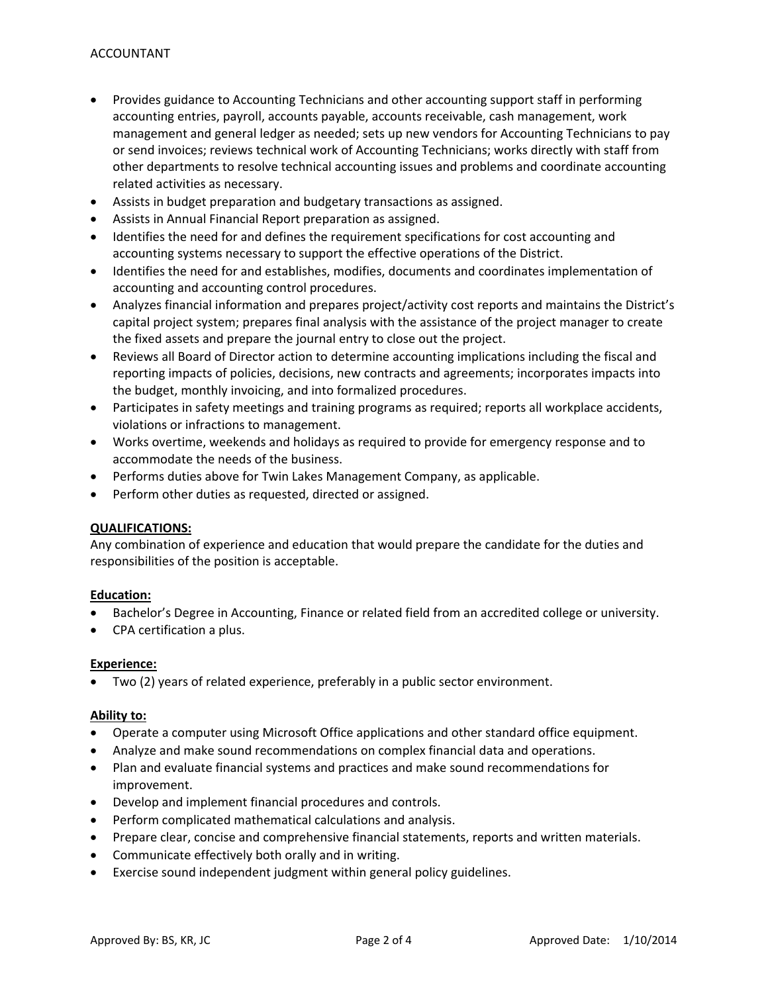- Provides guidance to Accounting Technicians and other accounting support staff in performing accounting entries, payroll, accounts payable, accounts receivable, cash management, work management and general ledger as needed; sets up new vendors for Accounting Technicians to pay or send invoices; reviews technical work of Accounting Technicians; works directly with staff from other departments to resolve technical accounting issues and problems and coordinate accounting related activities as necessary.
- Assists in budget preparation and budgetary transactions as assigned.
- Assists in Annual Financial Report preparation as assigned.
- Identifies the need for and defines the requirement specifications for cost accounting and accounting systems necessary to support the effective operations of the District.
- Identifies the need for and establishes, modifies, documents and coordinates implementation of accounting and accounting control procedures.
- Analyzes financial information and prepares project/activity cost reports and maintains the District's capital project system; prepares final analysis with the assistance of the project manager to create the fixed assets and prepare the journal entry to close out the project.
- Reviews all Board of Director action to determine accounting implications including the fiscal and reporting impacts of policies, decisions, new contracts and agreements; incorporates impacts into the budget, monthly invoicing, and into formalized procedures.
- Participates in safety meetings and training programs as required; reports all workplace accidents, violations or infractions to management.
- Works overtime, weekends and holidays as required to provide for emergency response and to accommodate the needs of the business.
- Performs duties above for Twin Lakes Management Company, as applicable.
- Perform other duties as requested, directed or assigned.

# **QUALIFICATIONS:**

Any combination of experience and education that would prepare the candidate for the duties and responsibilities of the position is acceptable.

# **Education:**

- Bachelor's Degree in Accounting, Finance or related field from an accredited college or university.
- CPA certification a plus.

# **Experience:**

• Two (2) years of related experience, preferably in a public sector environment.

# **Ability to:**

- Operate a computer using Microsoft Office applications and other standard office equipment.
- Analyze and make sound recommendations on complex financial data and operations.
- Plan and evaluate financial systems and practices and make sound recommendations for improvement.
- Develop and implement financial procedures and controls.
- Perform complicated mathematical calculations and analysis.
- Prepare clear, concise and comprehensive financial statements, reports and written materials.
- Communicate effectively both orally and in writing.
- Exercise sound independent judgment within general policy guidelines.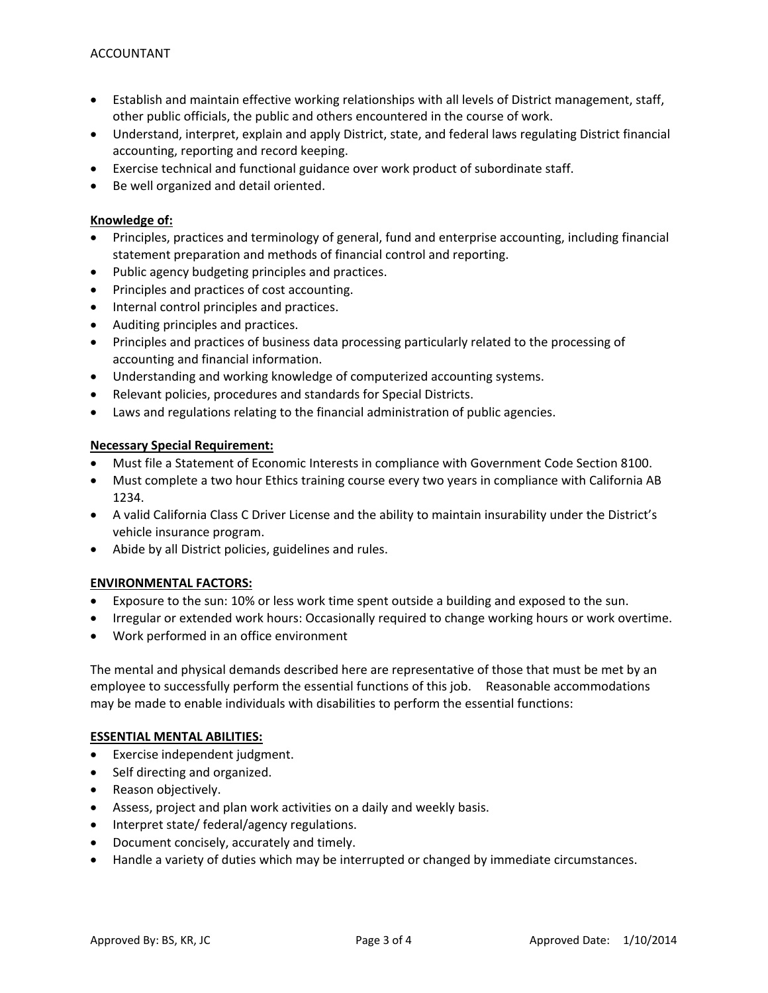- Establish and maintain effective working relationships with all levels of District management, staff, other public officials, the public and others encountered in the course of work.
- Understand, interpret, explain and apply District, state, and federal laws regulating District financial accounting, reporting and record keeping.
- Exercise technical and functional guidance over work product of subordinate staff.
- Be well organized and detail oriented.

# **Knowledge of:**

- Principles, practices and terminology of general, fund and enterprise accounting, including financial statement preparation and methods of financial control and reporting.
- Public agency budgeting principles and practices.
- Principles and practices of cost accounting.
- Internal control principles and practices.
- Auditing principles and practices.
- Principles and practices of business data processing particularly related to the processing of accounting and financial information.
- Understanding and working knowledge of computerized accounting systems.
- Relevant policies, procedures and standards for Special Districts.
- Laws and regulations relating to the financial administration of public agencies.

# **Necessary Special Requirement:**

- Must file a Statement of Economic Interests in compliance with Government Code Section 8100.
- Must complete a two hour Ethics training course every two years in compliance with California AB 1234.
- A valid California Class C Driver License and the ability to maintain insurability under the District's vehicle insurance program.
- Abide by all District policies, guidelines and rules.

# **ENVIRONMENTAL FACTORS:**

- Exposure to the sun: 10% or less work time spent outside a building and exposed to the sun.
- Irregular or extended work hours: Occasionally required to change working hours or work overtime.
- Work performed in an office environment

The mental and physical demands described here are representative of those that must be met by an employee to successfully perform the essential functions of this job. Reasonable accommodations may be made to enable individuals with disabilities to perform the essential functions:

# **ESSENTIAL MENTAL ABILITIES:**

- Exercise independent judgment.
- Self directing and organized.
- Reason objectively.
- Assess, project and plan work activities on a daily and weekly basis.
- Interpret state/ federal/agency regulations.
- Document concisely, accurately and timely.
- Handle a variety of duties which may be interrupted or changed by immediate circumstances.